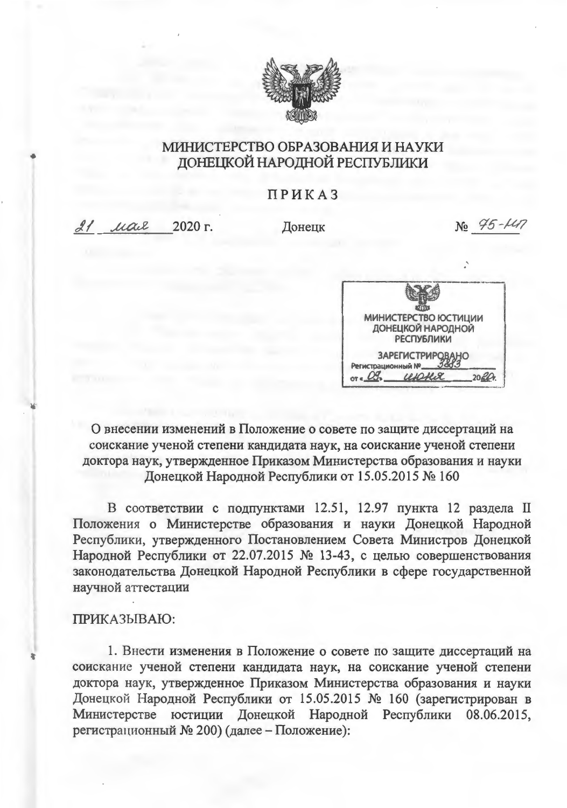

## МИНИСТЕРСТВО ОБРАЗОВАНИЯ И НАУКИ ДОНЕЦКОЙ НАРОДНОЙ РЕСПУБЛИКИ

## ПРИКАЗ

21 uair 2020 г.

Лонецк

 $Ne$   $95 - 147$ 



О внесении изменений в Положение о совете по защите диссертаций на соискание ученой степени кандидата наук, на соискание ученой степени доктора наук, утвержденное Приказом Министерства образования и науки Донецкой Народной Республики от 15.05.2015 № 160

В соответствии с подпунктами 12.51, 12.97 пункта 12 раздела II Положения о Министерстве образования и науки Донецкой Народной Республики, утвержденного Постановлением Совета Министров Донецкой Народной Республики от 22.07.2015 № 13-43, с целью совершенствования законодательства Донецкой Народной Республики в сфере государственной научной аттестации

## ПРИКАЗЫВАЮ:

1. Внести изменения в Положение о совете по защите диссертаций на соискание ученой степени кандидата наук, на соискание ученой степени доктора наук, утвержденное Приказом Министерства образования и науки Донецкой Народной Республики от 15.05.2015 № 160 (зарегистрирован в Министерстве юстиции Донецкой Народной Республики 08.06.2015, регистрационный № 200) (далее - Положение):